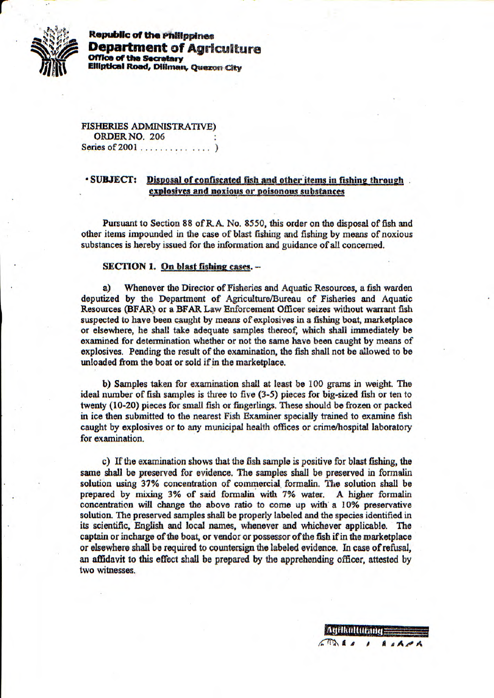

**Republic of the Philippines Department of Agriculture Office of the Secretary Elliptical Road, Diliman, Quezon City** 

FISHERIES ADMINISTRATIVE) ORDER NO. 206 Series of 2001 . . . . . . . . . . . . . . )

## **SUBJECT:** Disposal of confiscated fish and other items in fishing through. **explos ves and noxious or poisonous substances**

Pursuant to Section 88 of *R.A. No. 8550, this* order on the disposal of fish and other items impounded in the case of blast fishing and fishing by means of noxious substances is hereby issued for the information and guidance of all concerned.

## **SECTION 1. On blast fishing cases. -**

a) Whenever the Director of Fisheries and Aquatic Resources, a fish warden deputized by the Department of Agriculture/Bureau of Fisheries and Aquatic Resources (BFAR) or a BFAR Law Enforcement Officer seizes without warrant fish suspected to have been caught by means of explosives in a fishing boat, marketplace or elsewhere, he shall take adequate samples thereof, which shall immediately be examined for determination whether or not the same have been caught by means of explosives. Pending the result of the examination, the fish shall not be allowed to be unloaded from the boat or sold if in the marketplace.

b) Samples taken for examination shall at least be 100 grams *in* weight. The ideal number of fish samples is three to five (3-5) pieces for big-sized fish or ten to twenty (10-20) pieces for small fish or fingerlings. These should be frozen or packed in ice then submitted to the nearest Fish Examiner specially trained to examine fish caught by explosives or *to any* municipal health offices or crime/hospital laboratory for examination.

c) If the examination shows that the fish sample is positive for blast fishing, the same shall be preserved for evidence. The samples shall be preserved in formalin solution using 37% concentration of commercial, formalin. The solution shall be prepared by mixing 3% *of said formalin with 7% water. A higher* formalin concentration will *change the above ratio to come up with a 10% preservative*  solution. The preserved samples *shall* be properly labeled and the species identified in its scientific, English and local names, whenever and whichever applicable. *The*  captain or incharge of the boat, or vendor or possessor of the fish if *in the* marketplace or elsewhere shall be required to countersign the labeled evidence. In case of refusal, an affidavit to this effect shall be prepared by the apprehending officer, *attested by*  two witnesses.

*Agrikalturand* 

 $\sqrt{2}$ 

*I A aAiA*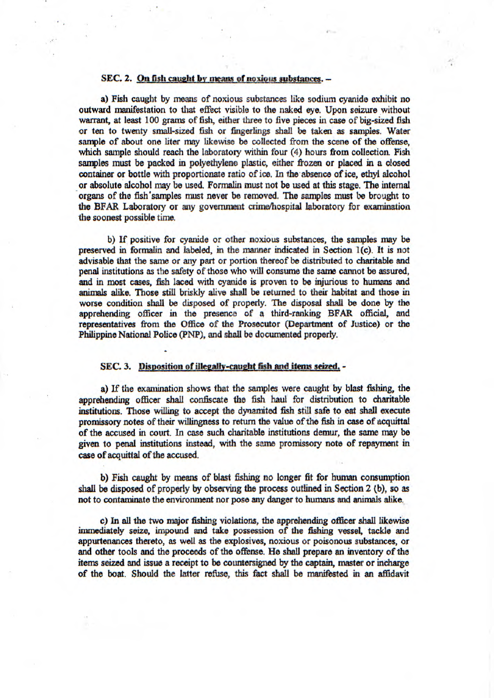## **SEC. 2. On fish caught by means of noxious substances. -**

a) Fish caught by means of noxious substances like sodium cyanide exhibit no outward manifestation to that *effect* visible to the naked eye. Upon seizure without warrant, at least 100 grams of fish, either three to five pieces in case of big-sized fish or ten to twenty small-sized fish or fingerlings shall be *taken* as samples. Water sample of about one liter may likewise be collected from the scene of the offense, which sample should reach the laboratory within four (4) hours from collection. Fish samples must be packed in polyethylene plastic, either frozen or placed in a closed container or bottle with proportionate ratio of ice. In the absence of ice, ethyl alcohol or absolute alcohol may be used. Formaiin must not be used at this stage. The internal organs of the fish samples must never be removed. The samples must be brought to the BFAR Laboratory or any government crime/hospital laboratory for examination the soonest possible *time.* 

b) If positive for cyanide or other noxious substances, the samples may be preserved in forniaiin and labeled, in the manner indicated in Section 1(c). It is not advisable that the same or any part or portion thereof be distributed to charitable and penal institutions as the safety of those who will consume the same cannot be assured, and in most cases, fish laced with cyanide is proven to be injurious to humans and animals alike. Those still briskly alive shall be ietumed to their habitat and those in worse condition shall be disposed of properly. The disposal shall be done by the apprehending officer in the presence of a third-ranking BFAR official, and representatives from the Office of the Prosecutor (Department of Justice) or the Philippine National Police (PNP), and shall be documented properly.

## **SEC. 3.** Disposition of illegally-caught fish and items seized. -

a) If the examination shows that the samples were caught by blast fishing, the apprehending officer shall confiscate the fish haul for distribution to charitable institutions. Those willing to accept the dynamited fish still safe to eat shall execute promissory notes of their willingness to return the value of the fish in case of acquittal of the accused in court. In case such charitable institutions demur, the same may be given to penal institutions instead, with the same promissory note of repayment in case of acquittal of the accused.

b) Fish caught by means of blast fishing no longer fit for human consumption **shall be disposed of properly** by **observing** the **process outlined in Section 2 (b), so as**  not to contaminate the environment nor pose any danger to humans and animals alike.

C) *In all the two major* fishing violations, the apprehending officer shall likewise immediately seize, *impound* and take possession of the fishing vessel, tackle and appurtenances thereto, as *well as* the explosives, noxious or poisonous substances, or and other tools and the proceeds of the offense. *He shall* prepare an inventory of the items seized and issue a receipt to be countersigned by the captain, master or incharge of the boat. Should the latter rethse, this fact shall be manifested in an affidavit